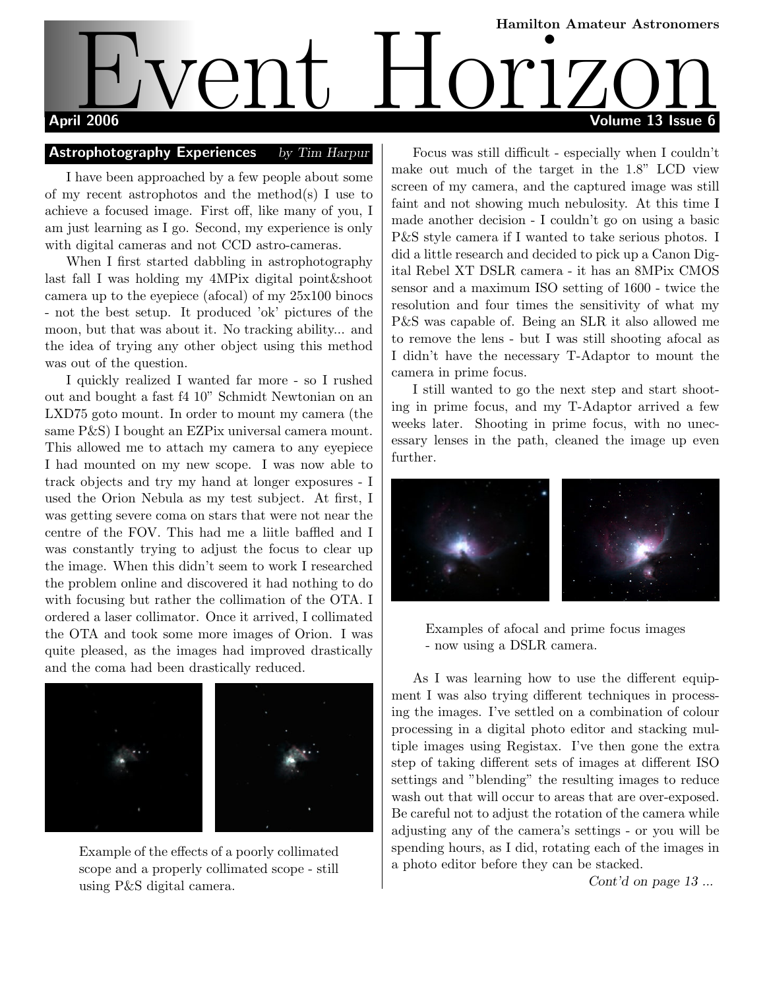# Hamilton Amateur Astronomers April 2006 Volume 13 Issue 6 Event Holl Million Amateur Astronomers

#### Astrophotography Experiences by Tim Harpur

I have been approached by a few people about some of my recent astrophotos and the method(s) I use to achieve a focused image. First off, like many of you, I am just learning as I go. Second, my experience is only with digital cameras and not CCD astro-cameras.

When I first started dabbling in astrophotography last fall I was holding my 4MPix digital point&shoot camera up to the eyepiece (afocal) of my 25x100 binocs - not the best setup. It produced 'ok' pictures of the moon, but that was about it. No tracking ability... and the idea of trying any other object using this method was out of the question.

I quickly realized I wanted far more - so I rushed out and bought a fast f4 10" Schmidt Newtonian on an LXD75 goto mount. In order to mount my camera (the same P&S) I bought an EZPix universal camera mount. This allowed me to attach my camera to any eyepiece I had mounted on my new scope. I was now able to track objects and try my hand at longer exposures - I used the Orion Nebula as my test subject. At first, I was getting severe coma on stars that were not near the centre of the FOV. This had me a liitle baffled and I was constantly trying to adjust the focus to clear up the image. When this didn't seem to work I researched the problem online and discovered it had nothing to do with focusing but rather the collimation of the OTA. I ordered a laser collimator. Once it arrived, I collimated the OTA and took some more images of Orion. I was quite pleased, as the images had improved drastically and the coma had been drastically reduced.



Example of the effects of a poorly collimated scope and a properly collimated scope - still using P&S digital camera.

Focus was still difficult - especially when I couldn't make out much of the target in the 1.8" LCD view screen of my camera, and the captured image was still faint and not showing much nebulosity. At this time I made another decision - I couldn't go on using a basic P&S style camera if I wanted to take serious photos. I did a little research and decided to pick up a Canon Digital Rebel XT DSLR camera - it has an 8MPix CMOS sensor and a maximum ISO setting of 1600 - twice the resolution and four times the sensitivity of what my P&S was capable of. Being an SLR it also allowed me to remove the lens - but I was still shooting afocal as I didn't have the necessary T-Adaptor to mount the camera in prime focus.

I still wanted to go the next step and start shooting in prime focus, and my T-Adaptor arrived a few weeks later. Shooting in prime focus, with no unecessary lenses in the path, cleaned the image up even further.



Examples of afocal and prime focus images - now using a DSLR camera.

As I was learning how to use the different equipment I was also trying different techniques in processing the images. I've settled on a combination of colour processing in a digital photo editor and stacking multiple images using Registax. I've then gone the extra step of taking different sets of images at different ISO settings and "blending" the resulting images to reduce wash out that will occur to areas that are over-exposed. Be careful not to adjust the rotation of the camera while adjusting any of the camera's settings - or you will be spending hours, as I did, rotating each of the images in a photo editor before they can be stacked.

Cont'd on page 13...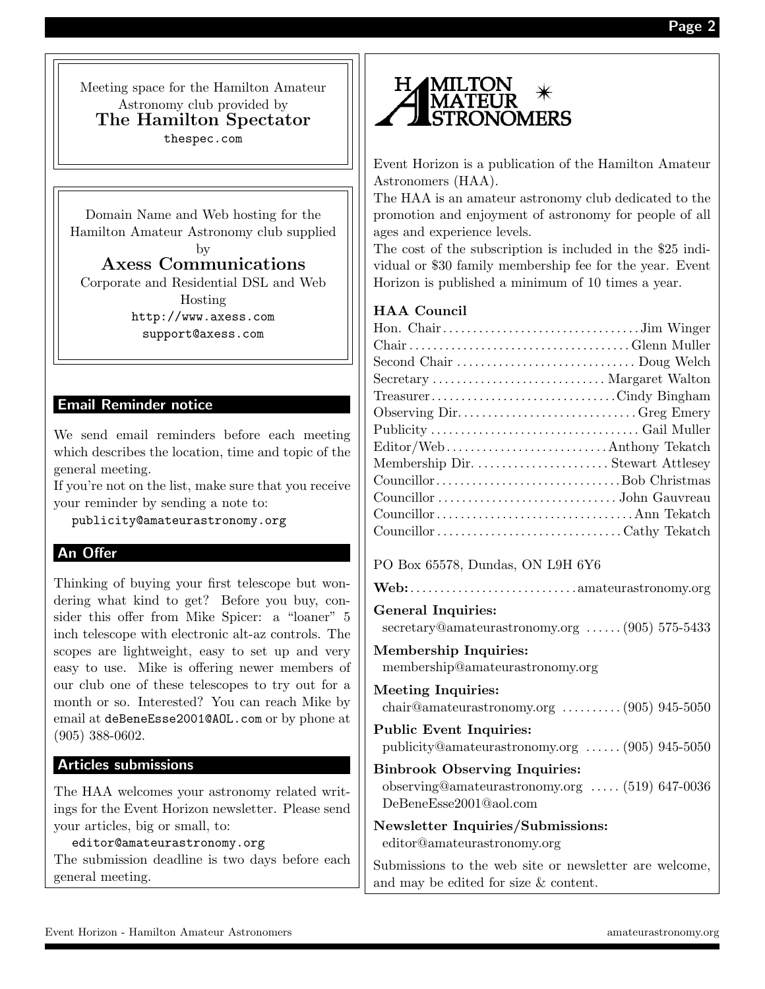Meeting space for the Hamilton Amateur Astronomy club provided by The Hamilton Spectator thespec.com

Domain Name and Web hosting for the Hamilton Amateur Astronomy club supplied by

Axess Communications Corporate and Residential DSL and Web Hosting http://www.axess.com

support@axess.com

#### Email Reminder notice

We send email reminders before each meeting which describes the location, time and topic of the general meeting.

If you're not on the list, make sure that you receive your reminder by sending a note to:

publicity@amateurastronomy.org

### An Offer

Thinking of buying your first telescope but wondering what kind to get? Before you buy, consider this offer from Mike Spicer: a "loaner" 5 inch telescope with electronic alt-az controls. The scopes are lightweight, easy to set up and very easy to use. Mike is offering newer members of our club one of these telescopes to try out for a month or so. Interested? You can reach Mike by email at deBeneEsse2001@AOL.com or by phone at (905) 388-0602.

#### Articles submissions

The HAA welcomes your astronomy related writings for the Event Horizon newsletter. Please send your articles, big or small, to:

editor@amateurastronomy.org

The submission deadline is two days before each general meeting.



Event Horizon is a publication of the Hamilton Amateur Astronomers (HAA).

The HAA is an amateur astronomy club dedicated to the promotion and enjoyment of astronomy for people of all ages and experience levels.

The cost of the subscription is included in the \$25 individual or \$30 family membership fee for the year. Event Horizon is published a minimum of 10 times a year.

#### HAA Council

| Secretary  Margaret Walton |  |
|----------------------------|--|
| TreasurerCindy Bingham     |  |
| Observing DirGreg Emery    |  |
|                            |  |
| Editor/WebAnthony Tekatch  |  |
|                            |  |
|                            |  |
|                            |  |
|                            |  |
|                            |  |

#### PO Box 65578, Dundas, ON L9H 6Y6

|--|--|

#### General Inquiries:

secretary@amateurastronomy.org . . . . . . (905) 575-5433

#### Membership Inquiries: membership@amateurastronomy.org

Meeting Inquiries: chair@amateurastronomy.org . . . . . . . . . . (905) 945-5050 Public Event Inquiries: publicity@amateurastronomy.org . . . . . . (905) 945-5050 Binbrook Observing Inquiries: observing@amateurastronomy.org . . . . . (519) 647-0036 DeBeneEsse2001@aol.com Newsletter Inquiries/Submissions:

editor@amateurastronomy.org

Submissions to the web site or newsletter are welcome, and may be edited for size & content.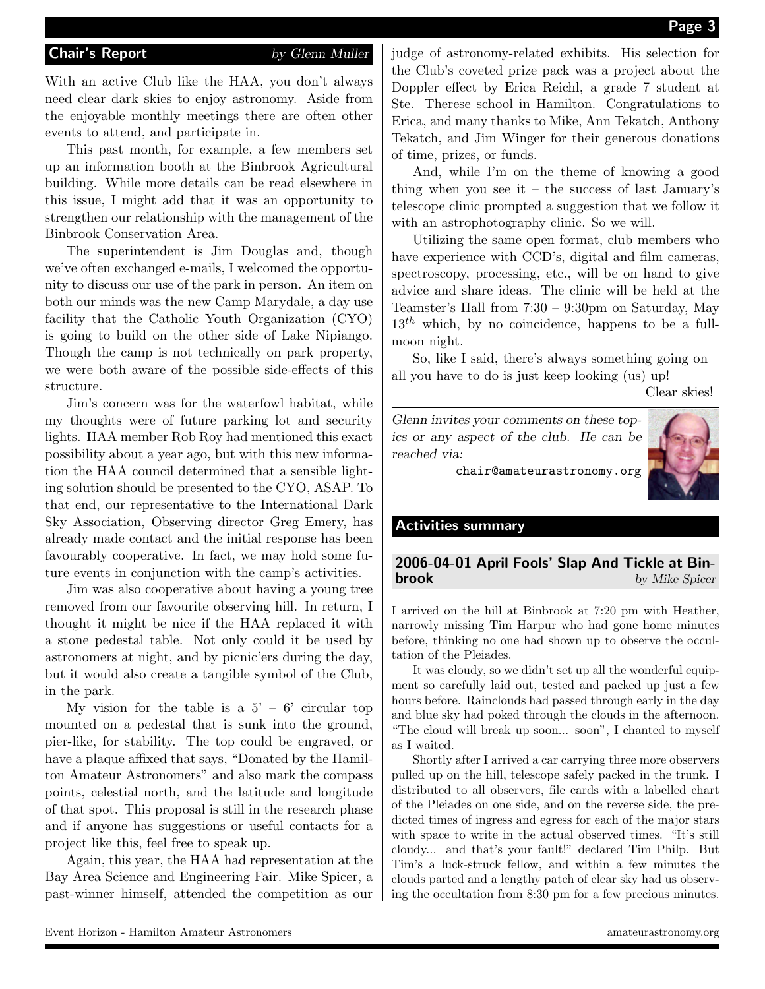With an active Club like the HAA, you don't always need clear dark skies to enjoy astronomy. Aside from the enjoyable monthly meetings there are often other events to attend, and participate in.

This past month, for example, a few members set up an information booth at the Binbrook Agricultural building. While more details can be read elsewhere in this issue, I might add that it was an opportunity to strengthen our relationship with the management of the Binbrook Conservation Area.

The superintendent is Jim Douglas and, though we've often exchanged e-mails, I welcomed the opportunity to discuss our use of the park in person. An item on both our minds was the new Camp Marydale, a day use facility that the Catholic Youth Organization (CYO) is going to build on the other side of Lake Nipiango. Though the camp is not technically on park property, we were both aware of the possible side-effects of this structure.

Jim's concern was for the waterfowl habitat, while my thoughts were of future parking lot and security lights. HAA member Rob Roy had mentioned this exact possibility about a year ago, but with this new information the HAA council determined that a sensible lighting solution should be presented to the CYO, ASAP. To that end, our representative to the International Dark Sky Association, Observing director Greg Emery, has already made contact and the initial response has been favourably cooperative. In fact, we may hold some future events in conjunction with the camp's activities.

Jim was also cooperative about having a young tree removed from our favourite observing hill. In return, I thought it might be nice if the HAA replaced it with a stone pedestal table. Not only could it be used by astronomers at night, and by picnic'ers during the day, but it would also create a tangible symbol of the Club, in the park.

My vision for the table is a  $5' - 6'$  circular top mounted on a pedestal that is sunk into the ground, pier-like, for stability. The top could be engraved, or have a plaque affixed that says, "Donated by the Hamilton Amateur Astronomers" and also mark the compass points, celestial north, and the latitude and longitude of that spot. This proposal is still in the research phase and if anyone has suggestions or useful contacts for a project like this, feel free to speak up.

Again, this year, the HAA had representation at the Bay Area Science and Engineering Fair. Mike Spicer, a past-winner himself, attended the competition as our judge of astronomy-related exhibits. His selection for the Club's coveted prize pack was a project about the Doppler effect by Erica Reichl, a grade 7 student at Ste. Therese school in Hamilton. Congratulations to Erica, and many thanks to Mike, Ann Tekatch, Anthony Tekatch, and Jim Winger for their generous donations of time, prizes, or funds.

And, while I'm on the theme of knowing a good thing when you see it – the success of last January's telescope clinic prompted a suggestion that we follow it with an astrophotography clinic. So we will.

Utilizing the same open format, club members who have experience with CCD's, digital and film cameras, spectroscopy, processing, etc., will be on hand to give advice and share ideas. The clinic will be held at the Teamster's Hall from 7:30 – 9:30pm on Saturday, May  $13<sup>th</sup>$  which, by no coincidence, happens to be a fullmoon night.

So, like I said, there's always something going on  $$ all you have to do is just keep looking (us) up!

Clear skies!

Glenn invites your comments on these topics or any aspect of the club. He can be reached via:



chair@amateurastronomy.org

#### Activities summary

#### 2006-04-01 April Fools' Slap And Tickle at Bin**brook** by Mike Spicer

I arrived on the hill at Binbrook at 7:20 pm with Heather, narrowly missing Tim Harpur who had gone home minutes before, thinking no one had shown up to observe the occultation of the Pleiades.

It was cloudy, so we didn't set up all the wonderful equipment so carefully laid out, tested and packed up just a few hours before. Rainclouds had passed through early in the day and blue sky had poked through the clouds in the afternoon. "The cloud will break up soon... soon", I chanted to myself as I waited.

Shortly after I arrived a car carrying three more observers pulled up on the hill, telescope safely packed in the trunk. I distributed to all observers, file cards with a labelled chart of the Pleiades on one side, and on the reverse side, the predicted times of ingress and egress for each of the major stars with space to write in the actual observed times. "It's still cloudy... and that's your fault!" declared Tim Philp. But Tim's a luck-struck fellow, and within a few minutes the clouds parted and a lengthy patch of clear sky had us observing the occultation from 8:30 pm for a few precious minutes.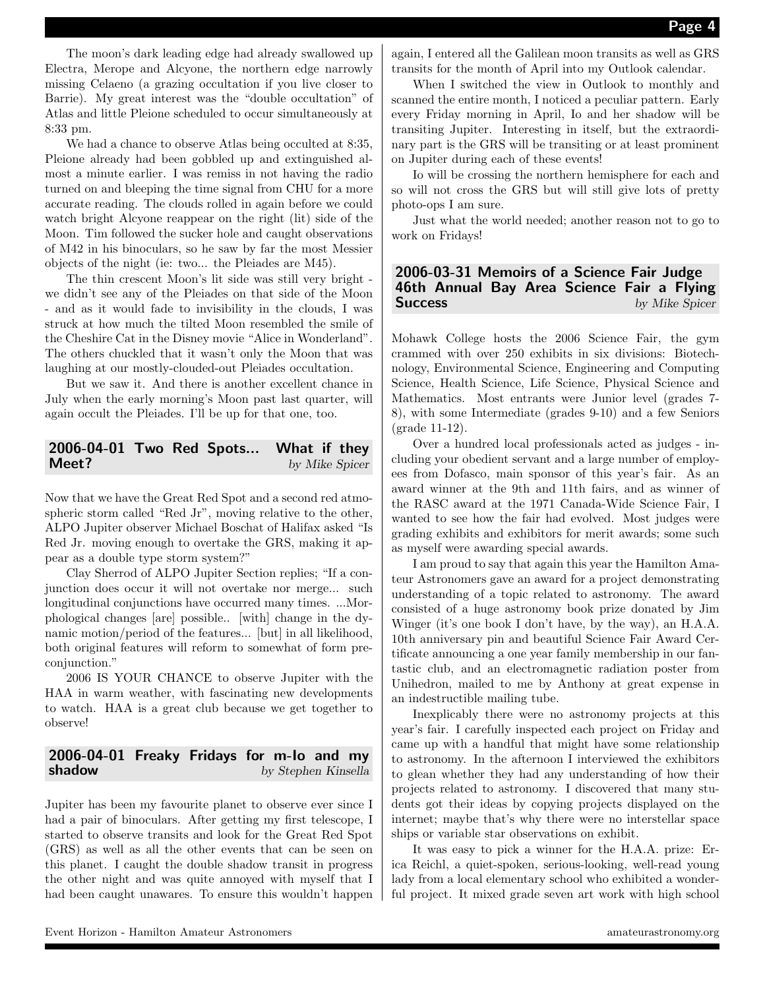The moon's dark leading edge had already swallowed up Electra, Merope and Alcyone, the northern edge narrowly missing Celaeno (a grazing occultation if you live closer to Barrie). My great interest was the "double occultation" of Atlas and little Pleione scheduled to occur simultaneously at 8:33 pm.

We had a chance to observe Atlas being occulted at 8:35, Pleione already had been gobbled up and extinguished almost a minute earlier. I was remiss in not having the radio turned on and bleeping the time signal from CHU for a more accurate reading. The clouds rolled in again before we could watch bright Alcyone reappear on the right (lit) side of the Moon. Tim followed the sucker hole and caught observations of M42 in his binoculars, so he saw by far the most Messier objects of the night (ie: two... the Pleiades are M45).

The thin crescent Moon's lit side was still very bright we didn't see any of the Pleiades on that side of the Moon - and as it would fade to invisibility in the clouds, I was struck at how much the tilted Moon resembled the smile of the Cheshire Cat in the Disney movie "Alice in Wonderland". The others chuckled that it wasn't only the Moon that was laughing at our mostly-clouded-out Pleiades occultation.

But we saw it. And there is another excellent chance in July when the early morning's Moon past last quarter, will again occult the Pleiades. I'll be up for that one, too.

#### 2006-04-01 Two Red Spots... What if they **Meet?** by Mike Spicer

Now that we have the Great Red Spot and a second red atmospheric storm called "Red Jr", moving relative to the other, ALPO Jupiter observer Michael Boschat of Halifax asked "Is Red Jr. moving enough to overtake the GRS, making it appear as a double type storm system?"

Clay Sherrod of ALPO Jupiter Section replies; "If a conjunction does occur it will not overtake nor merge... such longitudinal conjunctions have occurred many times. ...Morphological changes [are] possible.. [with] change in the dynamic motion/period of the features... [but] in all likelihood, both original features will reform to somewhat of form preconjunction."

2006 IS YOUR CHANCE to observe Jupiter with the HAA in warm weather, with fascinating new developments to watch. HAA is a great club because we get together to observe!

#### 2006-04-01 Freaky Fridays for m-Io and my shadow by Stephen Kinsella

Jupiter has been my favourite planet to observe ever since I had a pair of binoculars. After getting my first telescope, I started to observe transits and look for the Great Red Spot (GRS) as well as all the other events that can be seen on this planet. I caught the double shadow transit in progress the other night and was quite annoyed with myself that I had been caught unawares. To ensure this wouldn't happen again, I entered all the Galilean moon transits as well as GRS transits for the month of April into my Outlook calendar.

When I switched the view in Outlook to monthly and scanned the entire month, I noticed a peculiar pattern. Early every Friday morning in April, Io and her shadow will be transiting Jupiter. Interesting in itself, but the extraordinary part is the GRS will be transiting or at least prominent on Jupiter during each of these events!

Io will be crossing the northern hemisphere for each and so will not cross the GRS but will still give lots of pretty photo-ops I am sure.

Just what the world needed; another reason not to go to work on Fridays!

#### 2006-03-31 Memoirs of a Science Fair Judge 46th Annual Bay Area Science Fair a Flying **Success** by Mike Spicer

Mohawk College hosts the 2006 Science Fair, the gym crammed with over 250 exhibits in six divisions: Biotechnology, Environmental Science, Engineering and Computing Science, Health Science, Life Science, Physical Science and Mathematics. Most entrants were Junior level (grades 7- 8), with some Intermediate (grades 9-10) and a few Seniors (grade 11-12).

Over a hundred local professionals acted as judges - including your obedient servant and a large number of employees from Dofasco, main sponsor of this year's fair. As an award winner at the 9th and 11th fairs, and as winner of the RASC award at the 1971 Canada-Wide Science Fair, I wanted to see how the fair had evolved. Most judges were grading exhibits and exhibitors for merit awards; some such as myself were awarding special awards.

I am proud to say that again this year the Hamilton Amateur Astronomers gave an award for a project demonstrating understanding of a topic related to astronomy. The award consisted of a huge astronomy book prize donated by Jim Winger (it's one book I don't have, by the way), an H.A.A. 10th anniversary pin and beautiful Science Fair Award Certificate announcing a one year family membership in our fantastic club, and an electromagnetic radiation poster from Unihedron, mailed to me by Anthony at great expense in an indestructible mailing tube.

Inexplicably there were no astronomy projects at this year's fair. I carefully inspected each project on Friday and came up with a handful that might have some relationship to astronomy. In the afternoon I interviewed the exhibitors to glean whether they had any understanding of how their projects related to astronomy. I discovered that many students got their ideas by copying projects displayed on the internet; maybe that's why there were no interstellar space ships or variable star observations on exhibit.

It was easy to pick a winner for the H.A.A. prize: Erica Reichl, a quiet-spoken, serious-looking, well-read young lady from a local elementary school who exhibited a wonderful project. It mixed grade seven art work with high school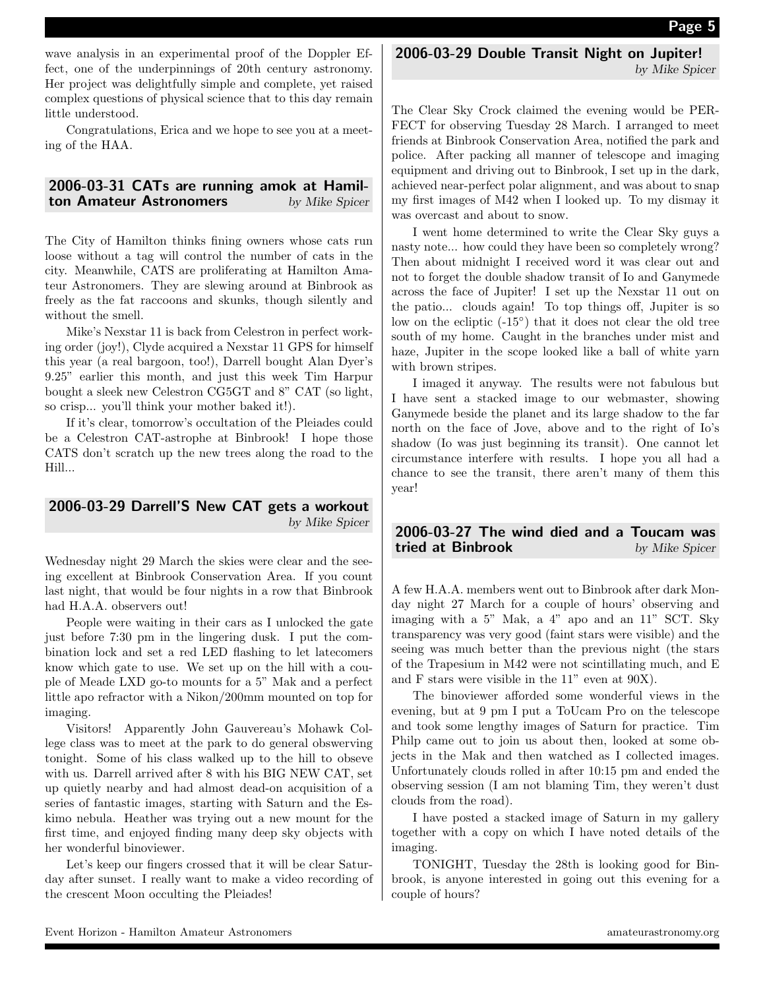wave analysis in an experimental proof of the Doppler Effect, one of the underpinnings of 20th century astronomy. Her project was delightfully simple and complete, yet raised complex questions of physical science that to this day remain little understood.

Congratulations, Erica and we hope to see you at a meeting of the HAA.

#### 2006-03-31 CATs are running amok at Hamilton Amateur Astronomers by Mike Spicer

The City of Hamilton thinks fining owners whose cats run loose without a tag will control the number of cats in the city. Meanwhile, CATS are proliferating at Hamilton Amateur Astronomers. They are slewing around at Binbrook as freely as the fat raccoons and skunks, though silently and without the smell.

Mike's Nexstar 11 is back from Celestron in perfect working order (joy!), Clyde acquired a Nexstar 11 GPS for himself this year (a real bargoon, too!), Darrell bought Alan Dyer's 9.25" earlier this month, and just this week Tim Harpur bought a sleek new Celestron CG5GT and 8" CAT (so light, so crisp... you'll think your mother baked it!).

If it's clear, tomorrow's occultation of the Pleiades could be a Celestron CAT-astrophe at Binbrook! I hope those CATS don't scratch up the new trees along the road to the Hill...

#### 2006-03-29 Darrell'S New CAT gets a workout by Mike Spicer

Wednesday night 29 March the skies were clear and the seeing excellent at Binbrook Conservation Area. If you count last night, that would be four nights in a row that Binbrook had H.A.A. observers out!

People were waiting in their cars as I unlocked the gate just before 7:30 pm in the lingering dusk. I put the combination lock and set a red LED flashing to let latecomers know which gate to use. We set up on the hill with a couple of Meade LXD go-to mounts for a 5" Mak and a perfect little apo refractor with a Nikon/200mm mounted on top for imaging.

Visitors! Apparently John Gauvereau's Mohawk College class was to meet at the park to do general obswerving tonight. Some of his class walked up to the hill to obseve with us. Darrell arrived after 8 with his BIG NEW CAT, set up quietly nearby and had almost dead-on acquisition of a series of fantastic images, starting with Saturn and the Eskimo nebula. Heather was trying out a new mount for the first time, and enjoyed finding many deep sky objects with her wonderful binoviewer.

Let's keep our fingers crossed that it will be clear Saturday after sunset. I really want to make a video recording of the crescent Moon occulting the Pleiades!

#### 2006-03-29 Double Transit Night on Jupiter! by Mike Spicer

The Clear Sky Crock claimed the evening would be PER-FECT for observing Tuesday 28 March. I arranged to meet friends at Binbrook Conservation Area, notified the park and police. After packing all manner of telescope and imaging equipment and driving out to Binbrook, I set up in the dark, achieved near-perfect polar alignment, and was about to snap my first images of M42 when I looked up. To my dismay it was overcast and about to snow.

I went home determined to write the Clear Sky guys a nasty note... how could they have been so completely wrong? Then about midnight I received word it was clear out and not to forget the double shadow transit of Io and Ganymede across the face of Jupiter! I set up the Nexstar 11 out on the patio... clouds again! To top things off, Jupiter is so low on the ecliptic  $(-15^{\circ})$  that it does not clear the old tree south of my home. Caught in the branches under mist and haze, Jupiter in the scope looked like a ball of white yarn with brown stripes.

I imaged it anyway. The results were not fabulous but I have sent a stacked image to our webmaster, showing Ganymede beside the planet and its large shadow to the far north on the face of Jove, above and to the right of Io's shadow (Io was just beginning its transit). One cannot let circumstance interfere with results. I hope you all had a chance to see the transit, there aren't many of them this year!

#### 2006-03-27 The wind died and a Toucam was tried at Binbrook by Mike Spicer

A few H.A.A. members went out to Binbrook after dark Monday night 27 March for a couple of hours' observing and imaging with a 5" Mak, a 4" apo and an 11" SCT. Sky transparency was very good (faint stars were visible) and the seeing was much better than the previous night (the stars of the Trapesium in M42 were not scintillating much, and E and F stars were visible in the 11" even at 90X).

The binoviewer afforded some wonderful views in the evening, but at 9 pm I put a ToUcam Pro on the telescope and took some lengthy images of Saturn for practice. Tim Philp came out to join us about then, looked at some objects in the Mak and then watched as I collected images. Unfortunately clouds rolled in after 10:15 pm and ended the observing session (I am not blaming Tim, they weren't dust clouds from the road).

I have posted a stacked image of Saturn in my gallery together with a copy on which I have noted details of the imaging.

TONIGHT, Tuesday the 28th is looking good for Binbrook, is anyone interested in going out this evening for a couple of hours?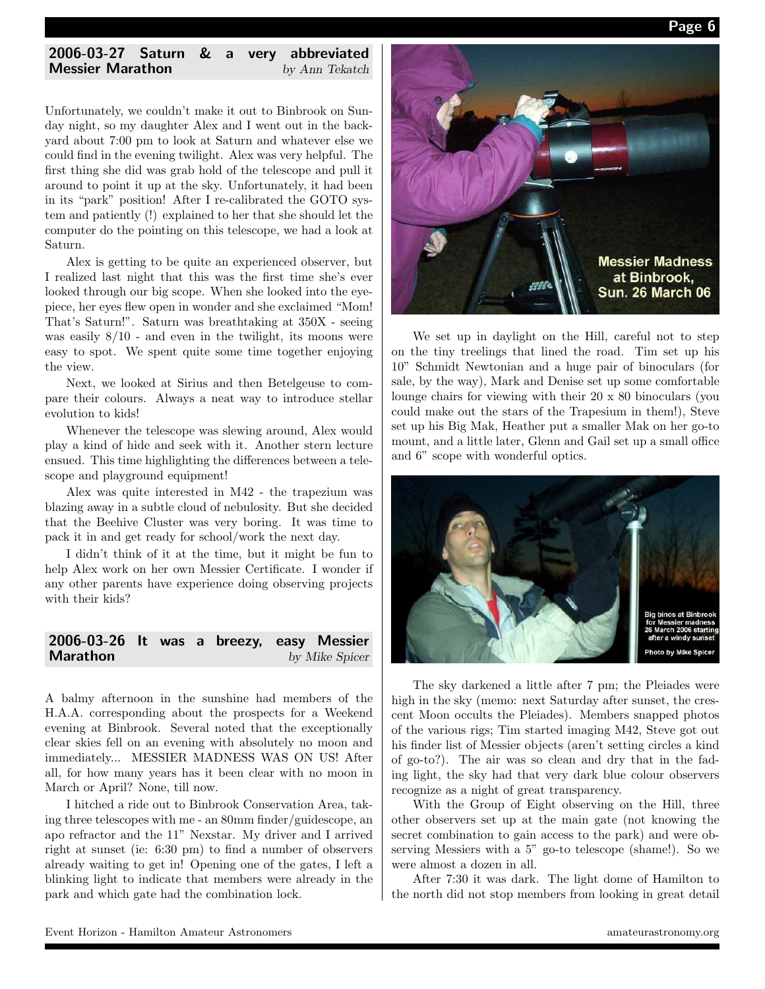

#### 2006-03-27 Saturn & a very abbreviated **Messier Marathon** by Ann Tekatch

Unfortunately, we couldn't make it out to Binbrook on Sunday night, so my daughter Alex and I went out in the backyard about 7:00 pm to look at Saturn and whatever else we could find in the evening twilight. Alex was very helpful. The first thing she did was grab hold of the telescope and pull it around to point it up at the sky. Unfortunately, it had been in its "park" position! After I re-calibrated the GOTO system and patiently (!) explained to her that she should let the computer do the pointing on this telescope, we had a look at Saturn.

Alex is getting to be quite an experienced observer, but I realized last night that this was the first time she's ever looked through our big scope. When she looked into the eyepiece, her eyes flew open in wonder and she exclaimed "Mom! That's Saturn!". Saturn was breathtaking at 350X - seeing was easily 8/10 - and even in the twilight, its moons were easy to spot. We spent quite some time together enjoying the view.

Next, we looked at Sirius and then Betelgeuse to compare their colours. Always a neat way to introduce stellar evolution to kids!

Whenever the telescope was slewing around, Alex would play a kind of hide and seek with it. Another stern lecture ensued. This time highlighting the differences between a telescope and playground equipment!

Alex was quite interested in M42 - the trapezium was blazing away in a subtle cloud of nebulosity. But she decided that the Beehive Cluster was very boring. It was time to pack it in and get ready for school/work the next day.

I didn't think of it at the time, but it might be fun to help Alex work on her own Messier Certificate. I wonder if any other parents have experience doing observing projects with their kids?

| 2006-03-26 It was a breezy, easy Messier |  |  |                |
|------------------------------------------|--|--|----------------|
| <b>Marathon</b>                          |  |  | by Mike Spicer |

A balmy afternoon in the sunshine had members of the H.A.A. corresponding about the prospects for a Weekend evening at Binbrook. Several noted that the exceptionally clear skies fell on an evening with absolutely no moon and immediately... MESSIER MADNESS WAS ON US! After all, for how many years has it been clear with no moon in March or April? None, till now.

I hitched a ride out to Binbrook Conservation Area, taking three telescopes with me - an 80mm finder/guidescope, an apo refractor and the 11" Nexstar. My driver and I arrived right at sunset (ie: 6:30 pm) to find a number of observers already waiting to get in! Opening one of the gates, I left a blinking light to indicate that members were already in the park and which gate had the combination lock.



We set up in daylight on the Hill, careful not to step on the tiny treelings that lined the road. Tim set up his 10" Schmidt Newtonian and a huge pair of binoculars (for sale, by the way), Mark and Denise set up some comfortable lounge chairs for viewing with their 20 x 80 binoculars (you could make out the stars of the Trapesium in them!), Steve set up his Big Mak, Heather put a smaller Mak on her go-to mount, and a little later, Glenn and Gail set up a small office and 6" scope with wonderful optics.



The sky darkened a little after 7 pm; the Pleiades were high in the sky (memo: next Saturday after sunset, the crescent Moon occults the Pleiades). Members snapped photos of the various rigs; Tim started imaging M42, Steve got out his finder list of Messier objects (aren't setting circles a kind of go-to?). The air was so clean and dry that in the fading light, the sky had that very dark blue colour observers recognize as a night of great transparency.

With the Group of Eight observing on the Hill, three other observers set up at the main gate (not knowing the secret combination to gain access to the park) and were observing Messiers with a 5" go-to telescope (shame!). So we were almost a dozen in all.

After 7:30 it was dark. The light dome of Hamilton to the north did not stop members from looking in great detail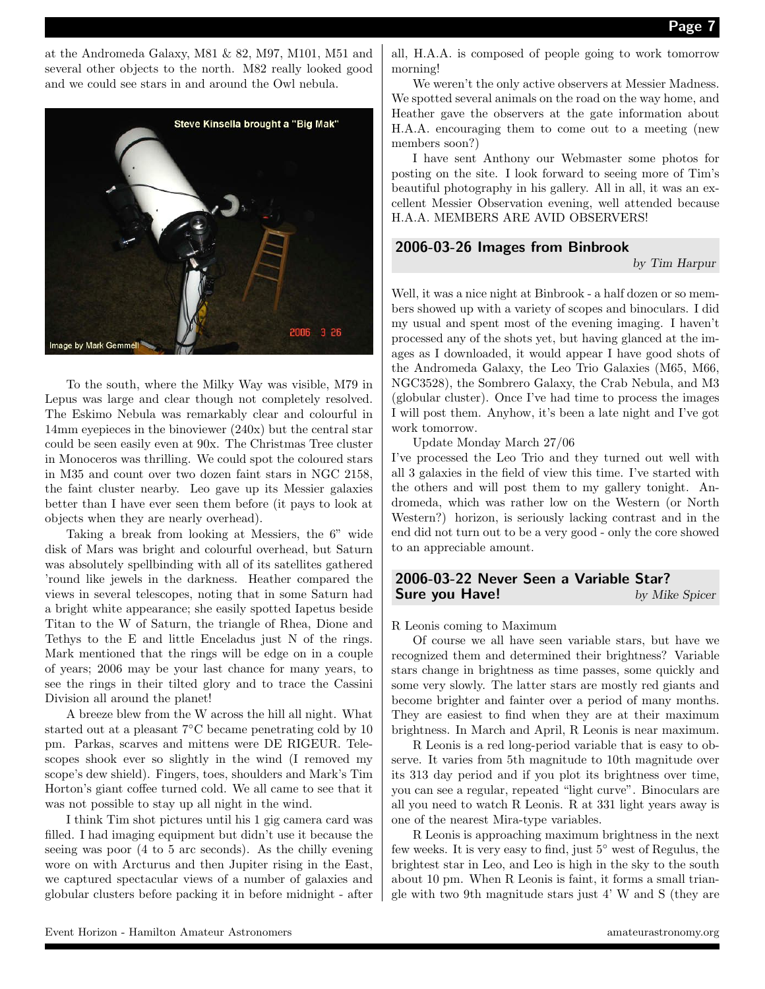at the Andromeda Galaxy, M81 & 82, M97, M101, M51 and several other objects to the north. M82 really looked good and we could see stars in and around the Owl nebula.



To the south, where the Milky Way was visible, M79 in Lepus was large and clear though not completely resolved. The Eskimo Nebula was remarkably clear and colourful in 14mm eyepieces in the binoviewer (240x) but the central star could be seen easily even at 90x. The Christmas Tree cluster in Monoceros was thrilling. We could spot the coloured stars in M35 and count over two dozen faint stars in NGC 2158, the faint cluster nearby. Leo gave up its Messier galaxies better than I have ever seen them before (it pays to look at objects when they are nearly overhead).

Taking a break from looking at Messiers, the 6" wide disk of Mars was bright and colourful overhead, but Saturn was absolutely spellbinding with all of its satellites gathered 'round like jewels in the darkness. Heather compared the views in several telescopes, noting that in some Saturn had a bright white appearance; she easily spotted Iapetus beside Titan to the W of Saturn, the triangle of Rhea, Dione and Tethys to the E and little Enceladus just N of the rings. Mark mentioned that the rings will be edge on in a couple of years; 2006 may be your last chance for many years, to see the rings in their tilted glory and to trace the Cassini Division all around the planet!

A breeze blew from the W across the hill all night. What started out at a pleasant 7◦C became penetrating cold by 10 pm. Parkas, scarves and mittens were DE RIGEUR. Telescopes shook ever so slightly in the wind (I removed my scope's dew shield). Fingers, toes, shoulders and Mark's Tim Horton's giant coffee turned cold. We all came to see that it was not possible to stay up all night in the wind.

I think Tim shot pictures until his 1 gig camera card was filled. I had imaging equipment but didn't use it because the seeing was poor (4 to 5 arc seconds). As the chilly evening wore on with Arcturus and then Jupiter rising in the East, we captured spectacular views of a number of galaxies and globular clusters before packing it in before midnight - after

all, H.A.A. is composed of people going to work tomorrow morning!

We weren't the only active observers at Messier Madness. We spotted several animals on the road on the way home, and Heather gave the observers at the gate information about H.A.A. encouraging them to come out to a meeting (new members soon?)

I have sent Anthony our Webmaster some photos for posting on the site. I look forward to seeing more of Tim's beautiful photography in his gallery. All in all, it was an excellent Messier Observation evening, well attended because H.A.A. MEMBERS ARE AVID OBSERVERS!

#### 2006-03-26 Images from Binbrook

by Tim Harpur

Well, it was a nice night at Binbrook - a half dozen or so members showed up with a variety of scopes and binoculars. I did my usual and spent most of the evening imaging. I haven't processed any of the shots yet, but having glanced at the images as I downloaded, it would appear I have good shots of the Andromeda Galaxy, the Leo Trio Galaxies (M65, M66, NGC3528), the Sombrero Galaxy, the Crab Nebula, and M3 (globular cluster). Once I've had time to process the images I will post them. Anyhow, it's been a late night and I've got work tomorrow.

Update Monday March 27/06

I've processed the Leo Trio and they turned out well with all 3 galaxies in the field of view this time. I've started with the others and will post them to my gallery tonight. Andromeda, which was rather low on the Western (or North Western?) horizon, is seriously lacking contrast and in the end did not turn out to be a very good - only the core showed to an appreciable amount.

#### 2006-03-22 Never Seen a Variable Star? **Sure you Have!** by Mike Spicer

R Leonis coming to Maximum

Of course we all have seen variable stars, but have we recognized them and determined their brightness? Variable stars change in brightness as time passes, some quickly and some very slowly. The latter stars are mostly red giants and become brighter and fainter over a period of many months. They are easiest to find when they are at their maximum brightness. In March and April, R Leonis is near maximum.

R Leonis is a red long-period variable that is easy to observe. It varies from 5th magnitude to 10th magnitude over its 313 day period and if you plot its brightness over time, you can see a regular, repeated "light curve". Binoculars are all you need to watch R Leonis. R at 331 light years away is one of the nearest Mira-type variables.

R Leonis is approaching maximum brightness in the next few weeks. It is very easy to find, just 5◦ west of Regulus, the brightest star in Leo, and Leo is high in the sky to the south about 10 pm. When R Leonis is faint, it forms a small triangle with two 9th magnitude stars just 4' W and S (they are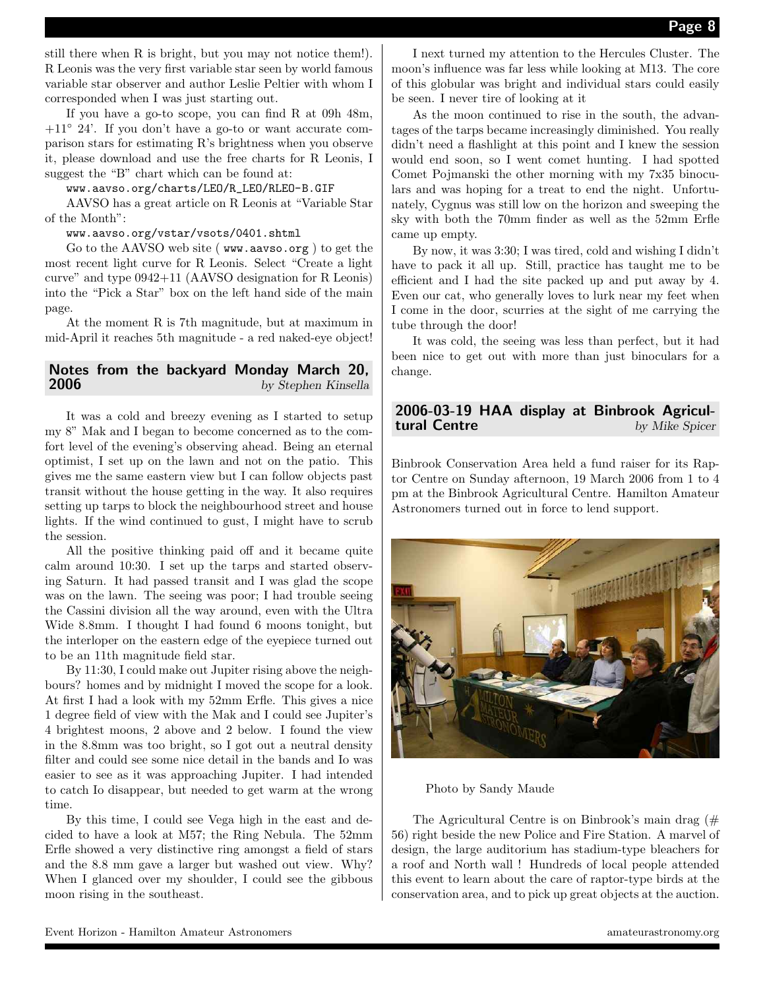still there when R is bright, but you may not notice them!). R Leonis was the very first variable star seen by world famous variable star observer and author Leslie Peltier with whom I corresponded when I was just starting out.

If you have a go-to scope, you can find R at 09h 48m,  $+11° 24'$ . If you don't have a go-to or want accurate comparison stars for estimating R's brightness when you observe it, please download and use the free charts for R Leonis, I suggest the "B" chart which can be found at:

www.aavso.org/charts/LEO/R\_LEO/RLEO-B.GIF

AAVSO has a great article on R Leonis at "Variable Star of the Month":

www.aavso.org/vstar/vsots/0401.shtml

Go to the AAVSO web site ( www.aavso.org ) to get the most recent light curve for R Leonis. Select "Create a light curve" and type 0942+11 (AAVSO designation for R Leonis) into the "Pick a Star" box on the left hand side of the main page.

At the moment R is 7th magnitude, but at maximum in mid-April it reaches 5th magnitude - a red naked-eye object!

#### Notes from the backyard Monday March 20, 2006 by Stephen Kinsella

It was a cold and breezy evening as I started to setup my 8" Mak and I began to become concerned as to the comfort level of the evening's observing ahead. Being an eternal optimist, I set up on the lawn and not on the patio. This gives me the same eastern view but I can follow objects past transit without the house getting in the way. It also requires setting up tarps to block the neighbourhood street and house lights. If the wind continued to gust, I might have to scrub the session.

All the positive thinking paid off and it became quite calm around 10:30. I set up the tarps and started observing Saturn. It had passed transit and I was glad the scope was on the lawn. The seeing was poor; I had trouble seeing the Cassini division all the way around, even with the Ultra Wide 8.8mm. I thought I had found 6 moons tonight, but the interloper on the eastern edge of the eyepiece turned out to be an 11th magnitude field star.

By 11:30, I could make out Jupiter rising above the neighbours? homes and by midnight I moved the scope for a look. At first I had a look with my 52mm Erfle. This gives a nice 1 degree field of view with the Mak and I could see Jupiter's 4 brightest moons, 2 above and 2 below. I found the view in the 8.8mm was too bright, so I got out a neutral density filter and could see some nice detail in the bands and Io was easier to see as it was approaching Jupiter. I had intended to catch Io disappear, but needed to get warm at the wrong time.

By this time, I could see Vega high in the east and decided to have a look at M57; the Ring Nebula. The 52mm Erfle showed a very distinctive ring amongst a field of stars and the 8.8 mm gave a larger but washed out view. Why? When I glanced over my shoulder, I could see the gibbous moon rising in the southeast.

I next turned my attention to the Hercules Cluster. The moon's influence was far less while looking at M13. The core of this globular was bright and individual stars could easily be seen. I never tire of looking at it

As the moon continued to rise in the south, the advantages of the tarps became increasingly diminished. You really didn't need a flashlight at this point and I knew the session would end soon, so I went comet hunting. I had spotted Comet Pojmanski the other morning with my 7x35 binoculars and was hoping for a treat to end the night. Unfortunately, Cygnus was still low on the horizon and sweeping the sky with both the 70mm finder as well as the 52mm Erfle came up empty.

By now, it was 3:30; I was tired, cold and wishing I didn't have to pack it all up. Still, practice has taught me to be efficient and I had the site packed up and put away by 4. Even our cat, who generally loves to lurk near my feet when I come in the door, scurries at the sight of me carrying the tube through the door!

It was cold, the seeing was less than perfect, but it had been nice to get out with more than just binoculars for a change.

#### 2006-03-19 HAA display at Binbrook Agricultural Centre by Mike Spicer

Binbrook Conservation Area held a fund raiser for its Raptor Centre on Sunday afternoon, 19 March 2006 from 1 to 4 pm at the Binbrook Agricultural Centre. Hamilton Amateur Astronomers turned out in force to lend support.



Photo by Sandy Maude

The Agricultural Centre is on Binbrook's main drag (# 56) right beside the new Police and Fire Station. A marvel of design, the large auditorium has stadium-type bleachers for a roof and North wall ! Hundreds of local people attended this event to learn about the care of raptor-type birds at the conservation area, and to pick up great objects at the auction.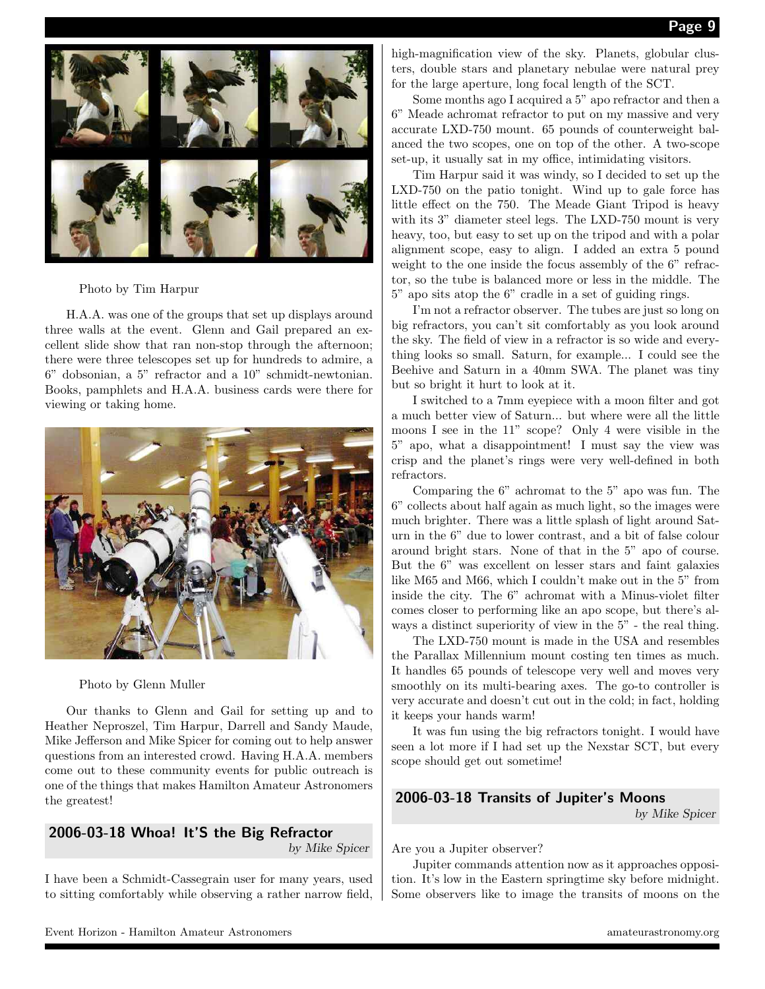

Photo by Tim Harpur

H.A.A. was one of the groups that set up displays around three walls at the event. Glenn and Gail prepared an excellent slide show that ran non-stop through the afternoon; there were three telescopes set up for hundreds to admire, a 6" dobsonian, a 5" refractor and a 10" schmidt-newtonian. Books, pamphlets and H.A.A. business cards were there for viewing or taking home.



Photo by Glenn Muller

Our thanks to Glenn and Gail for setting up and to Heather Neproszel, Tim Harpur, Darrell and Sandy Maude, Mike Jefferson and Mike Spicer for coming out to help answer questions from an interested crowd. Having H.A.A. members come out to these community events for public outreach is one of the things that makes Hamilton Amateur Astronomers the greatest!

## 2006-03-18 Whoa! It'S the Big Refractor

by Mike Spicer

I have been a Schmidt-Cassegrain user for many years, used to sitting comfortably while observing a rather narrow field,

high-magnification view of the sky. Planets, globular clusters, double stars and planetary nebulae were natural prey for the large aperture, long focal length of the SCT.

Some months ago I acquired a 5" apo refractor and then a 6" Meade achromat refractor to put on my massive and very accurate LXD-750 mount. 65 pounds of counterweight balanced the two scopes, one on top of the other. A two-scope set-up, it usually sat in my office, intimidating visitors.

Tim Harpur said it was windy, so I decided to set up the LXD-750 on the patio tonight. Wind up to gale force has little effect on the 750. The Meade Giant Tripod is heavy with its 3" diameter steel legs. The LXD-750 mount is very heavy, too, but easy to set up on the tripod and with a polar alignment scope, easy to align. I added an extra 5 pound weight to the one inside the focus assembly of the  $6"$  refractor, so the tube is balanced more or less in the middle. The 5" apo sits atop the 6" cradle in a set of guiding rings.

I'm not a refractor observer. The tubes are just so long on big refractors, you can't sit comfortably as you look around the sky. The field of view in a refractor is so wide and everything looks so small. Saturn, for example... I could see the Beehive and Saturn in a 40mm SWA. The planet was tiny but so bright it hurt to look at it.

I switched to a 7mm eyepiece with a moon filter and got a much better view of Saturn... but where were all the little moons I see in the 11" scope? Only 4 were visible in the 5" apo, what a disappointment! I must say the view was crisp and the planet's rings were very well-defined in both refractors.

Comparing the 6" achromat to the 5" apo was fun. The 6" collects about half again as much light, so the images were much brighter. There was a little splash of light around Saturn in the 6" due to lower contrast, and a bit of false colour around bright stars. None of that in the 5" apo of course. But the 6" was excellent on lesser stars and faint galaxies like M65 and M66, which I couldn't make out in the 5" from inside the city. The 6" achromat with a Minus-violet filter comes closer to performing like an apo scope, but there's always a distinct superiority of view in the 5" - the real thing.

The LXD-750 mount is made in the USA and resembles the Parallax Millennium mount costing ten times as much. It handles 65 pounds of telescope very well and moves very smoothly on its multi-bearing axes. The go-to controller is very accurate and doesn't cut out in the cold; in fact, holding it keeps your hands warm!

It was fun using the big refractors tonight. I would have seen a lot more if I had set up the Nexstar SCT, but every scope should get out sometime!

#### 2006-03-18 Transits of Jupiter's Moons

by Mike Spicer

Are you a Jupiter observer?

Jupiter commands attention now as it approaches opposition. It's low in the Eastern springtime sky before midnight. Some observers like to image the transits of moons on the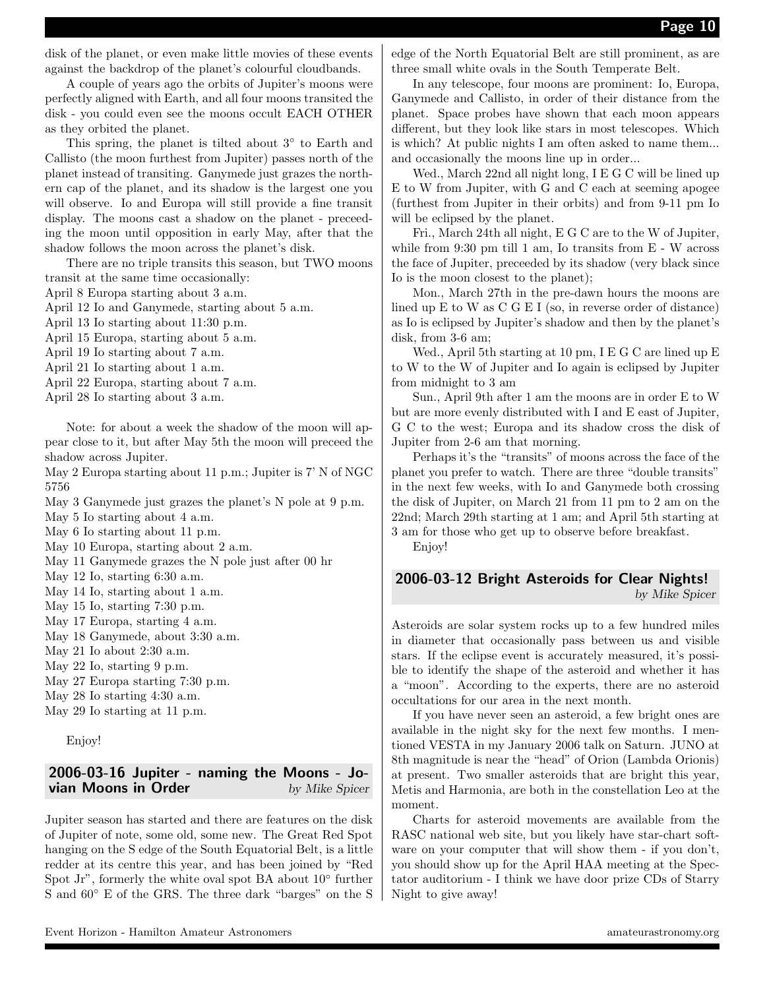disk of the planet, or even make little movies of these events against the backdrop of the planet's colourful cloudbands.

A couple of years ago the orbits of Jupiter's moons were perfectly aligned with Earth, and all four moons transited the disk - you could even see the moons occult EACH OTHER as they orbited the planet.

This spring, the planet is tilted about  $3°$  to Earth and Callisto (the moon furthest from Jupiter) passes north of the planet instead of transiting. Ganymede just grazes the northern cap of the planet, and its shadow is the largest one you will observe. Io and Europa will still provide a fine transit display. The moons cast a shadow on the planet - preceeding the moon until opposition in early May, after that the shadow follows the moon across the planet's disk.

There are no triple transits this season, but TWO moons transit at the same time occasionally:

April 8 Europa starting about 3 a.m.

April 12 Io and Ganymede, starting about 5 a.m.

April 13 Io starting about 11:30 p.m.

April 15 Europa, starting about 5 a.m.

April 19 Io starting about 7 a.m.

April 21 Io starting about 1 a.m.

April 22 Europa, starting about 7 a.m.

April 28 Io starting about 3 a.m.

Note: for about a week the shadow of the moon will appear close to it, but after May 5th the moon will preceed the shadow across Jupiter.

May 2 Europa starting about 11 p.m.; Jupiter is 7' N of NGC 5756

May 3 Ganymede just grazes the planet's N pole at 9 p.m.

May 5 Io starting about 4 a.m.

May 6 Io starting about 11 p.m.

May 10 Europa, starting about 2 a.m.

May 11 Ganymede grazes the N pole just after 00 hr

May 12 Io, starting 6:30 a.m.

May 14 Io, starting about 1 a.m.

May 15 Io, starting 7:30 p.m.

May 17 Europa, starting 4 a.m.

May 18 Ganymede, about 3:30 a.m.

May 21 Io about 2:30 a.m.

May 22 Io, starting 9 p.m.

May 27 Europa starting 7:30 p.m.

May 28 Io starting 4:30 a.m.

May 29 Io starting at 11 p.m.

Enjoy!

#### 2006-03-16 Jupiter - naming the Moons - Jo**vian Moons in Order**  $\qquad \qquad$  by Mike Spicer

Jupiter season has started and there are features on the disk of Jupiter of note, some old, some new. The Great Red Spot hanging on the S edge of the South Equatorial Belt, is a little redder at its centre this year, and has been joined by "Red Spot Jr", formerly the white oval spot BA about 10◦ further S and  $60°$  E of the GRS. The three dark "barges" on the S edge of the North Equatorial Belt are still prominent, as are three small white ovals in the South Temperate Belt.

In any telescope, four moons are prominent: Io, Europa, Ganymede and Callisto, in order of their distance from the planet. Space probes have shown that each moon appears different, but they look like stars in most telescopes. Which is which? At public nights I am often asked to name them... and occasionally the moons line up in order...

Wed., March 22nd all night long, I E G C will be lined up E to W from Jupiter, with G and C each at seeming apogee (furthest from Jupiter in their orbits) and from 9-11 pm Io will be eclipsed by the planet.

Fri., March 24th all night, E G C are to the W of Jupiter, while from 9:30 pm till 1 am, Io transits from E - W across the face of Jupiter, preceeded by its shadow (very black since Io is the moon closest to the planet);

Mon., March 27th in the pre-dawn hours the moons are lined up E to W as C G E I (so, in reverse order of distance) as Io is eclipsed by Jupiter's shadow and then by the planet's disk, from 3-6 am;

Wed., April 5th starting at 10 pm, I E G C are lined up E to W to the W of Jupiter and Io again is eclipsed by Jupiter from midnight to 3 am

Sun., April 9th after 1 am the moons are in order E to W but are more evenly distributed with I and E east of Jupiter, G C to the west; Europa and its shadow cross the disk of Jupiter from 2-6 am that morning.

Perhaps it's the "transits" of moons across the face of the planet you prefer to watch. There are three "double transits" in the next few weeks, with Io and Ganymede both crossing the disk of Jupiter, on March 21 from 11 pm to 2 am on the 22nd; March 29th starting at 1 am; and April 5th starting at 3 am for those who get up to observe before breakfast.

Enjoy!

#### 2006-03-12 Bright Asteroids for Clear Nights! by Mike Spicer

Asteroids are solar system rocks up to a few hundred miles in diameter that occasionally pass between us and visible stars. If the eclipse event is accurately measured, it's possible to identify the shape of the asteroid and whether it has a "moon". According to the experts, there are no asteroid occultations for our area in the next month.

If you have never seen an asteroid, a few bright ones are available in the night sky for the next few months. I mentioned VESTA in my January 2006 talk on Saturn. JUNO at 8th magnitude is near the "head" of Orion (Lambda Orionis) at present. Two smaller asteroids that are bright this year, Metis and Harmonia, are both in the constellation Leo at the moment.

Charts for asteroid movements are available from the RASC national web site, but you likely have star-chart software on your computer that will show them - if you don't, you should show up for the April HAA meeting at the Spectator auditorium - I think we have door prize CDs of Starry Night to give away!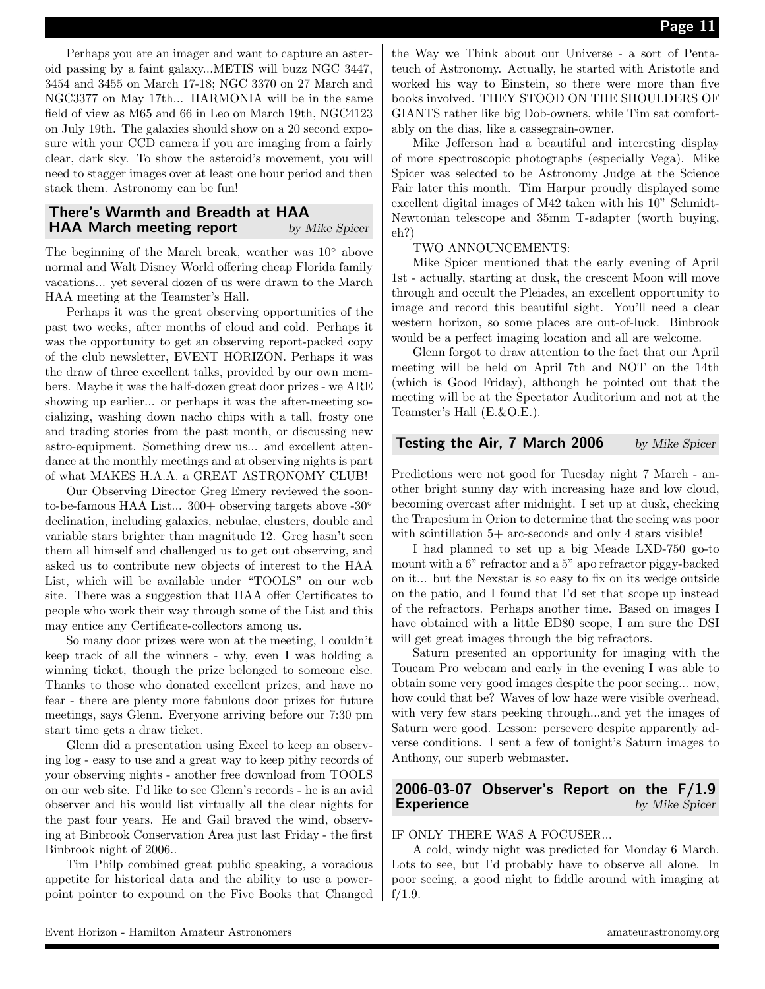Perhaps you are an imager and want to capture an asteroid passing by a faint galaxy...METIS will buzz NGC 3447, 3454 and 3455 on March 17-18; NGC 3370 on 27 March and NGC3377 on May 17th... HARMONIA will be in the same field of view as M65 and 66 in Leo on March 19th, NGC4123 on July 19th. The galaxies should show on a 20 second exposure with your CCD camera if you are imaging from a fairly clear, dark sky. To show the asteroid's movement, you will need to stagger images over at least one hour period and then stack them. Astronomy can be fun!

#### There's Warmth and Breadth at HAA **HAA March meeting report** by Mike Spicer

The beginning of the March break, weather was 10◦ above normal and Walt Disney World offering cheap Florida family vacations... yet several dozen of us were drawn to the March HAA meeting at the Teamster's Hall.

Perhaps it was the great observing opportunities of the past two weeks, after months of cloud and cold. Perhaps it was the opportunity to get an observing report-packed copy of the club newsletter, EVENT HORIZON. Perhaps it was the draw of three excellent talks, provided by our own members. Maybe it was the half-dozen great door prizes - we ARE showing up earlier... or perhaps it was the after-meeting socializing, washing down nacho chips with a tall, frosty one and trading stories from the past month, or discussing new astro-equipment. Something drew us... and excellent attendance at the monthly meetings and at observing nights is part of what MAKES H.A.A. a GREAT ASTRONOMY CLUB!

Our Observing Director Greg Emery reviewed the soonto-be-famous HAA List...  $300+$  observing targets above - $30^{\circ}$ declination, including galaxies, nebulae, clusters, double and variable stars brighter than magnitude 12. Greg hasn't seen them all himself and challenged us to get out observing, and asked us to contribute new objects of interest to the HAA List, which will be available under "TOOLS" on our web site. There was a suggestion that HAA offer Certificates to people who work their way through some of the List and this may entice any Certificate-collectors among us.

So many door prizes were won at the meeting, I couldn't keep track of all the winners - why, even I was holding a winning ticket, though the prize belonged to someone else. Thanks to those who donated excellent prizes, and have no fear - there are plenty more fabulous door prizes for future meetings, says Glenn. Everyone arriving before our 7:30 pm start time gets a draw ticket.

Glenn did a presentation using Excel to keep an observing log - easy to use and a great way to keep pithy records of your observing nights - another free download from TOOLS on our web site. I'd like to see Glenn's records - he is an avid observer and his would list virtually all the clear nights for the past four years. He and Gail braved the wind, observing at Binbrook Conservation Area just last Friday - the first Binbrook night of 2006..

Tim Philp combined great public speaking, a voracious appetite for historical data and the ability to use a powerpoint pointer to expound on the Five Books that Changed the Way we Think about our Universe - a sort of Pentateuch of Astronomy. Actually, he started with Aristotle and worked his way to Einstein, so there were more than five books involved. THEY STOOD ON THE SHOULDERS OF GIANTS rather like big Dob-owners, while Tim sat comfortably on the dias, like a cassegrain-owner.

Mike Jefferson had a beautiful and interesting display of more spectroscopic photographs (especially Vega). Mike Spicer was selected to be Astronomy Judge at the Science Fair later this month. Tim Harpur proudly displayed some excellent digital images of M42 taken with his 10" Schmidt-Newtonian telescope and 35mm T-adapter (worth buying, eh?)

#### TWO ANNOUNCEMENTS:

Mike Spicer mentioned that the early evening of April 1st - actually, starting at dusk, the crescent Moon will move through and occult the Pleiades, an excellent opportunity to image and record this beautiful sight. You'll need a clear western horizon, so some places are out-of-luck. Binbrook would be a perfect imaging location and all are welcome.

Glenn forgot to draw attention to the fact that our April meeting will be held on April 7th and NOT on the 14th (which is Good Friday), although he pointed out that the meeting will be at the Spectator Auditorium and not at the Teamster's Hall (E.&O.E.).

#### **Testing the Air, 7 March 2006** by Mike Spicer

Predictions were not good for Tuesday night 7 March - another bright sunny day with increasing haze and low cloud, becoming overcast after midnight. I set up at dusk, checking the Trapesium in Orion to determine that the seeing was poor with scintillation 5+ arc-seconds and only 4 stars visible!

I had planned to set up a big Meade LXD-750 go-to mount with a 6" refractor and a 5" apo refractor piggy-backed on it... but the Nexstar is so easy to fix on its wedge outside on the patio, and I found that I'd set that scope up instead of the refractors. Perhaps another time. Based on images I have obtained with a little ED80 scope, I am sure the DSI will get great images through the big refractors.

Saturn presented an opportunity for imaging with the Toucam Pro webcam and early in the evening I was able to obtain some very good images despite the poor seeing... now, how could that be? Waves of low haze were visible overhead, with very few stars peeking through...and yet the images of Saturn were good. Lesson: persevere despite apparently adverse conditions. I sent a few of tonight's Saturn images to Anthony, our superb webmaster.

#### 2006-03-07 Observer's Report on the F/1.9 **Experience** by Mike Spicer

#### IF ONLY THERE WAS A FOCUSER...

A cold, windy night was predicted for Monday 6 March. Lots to see, but I'd probably have to observe all alone. In poor seeing, a good night to fiddle around with imaging at f/1.9.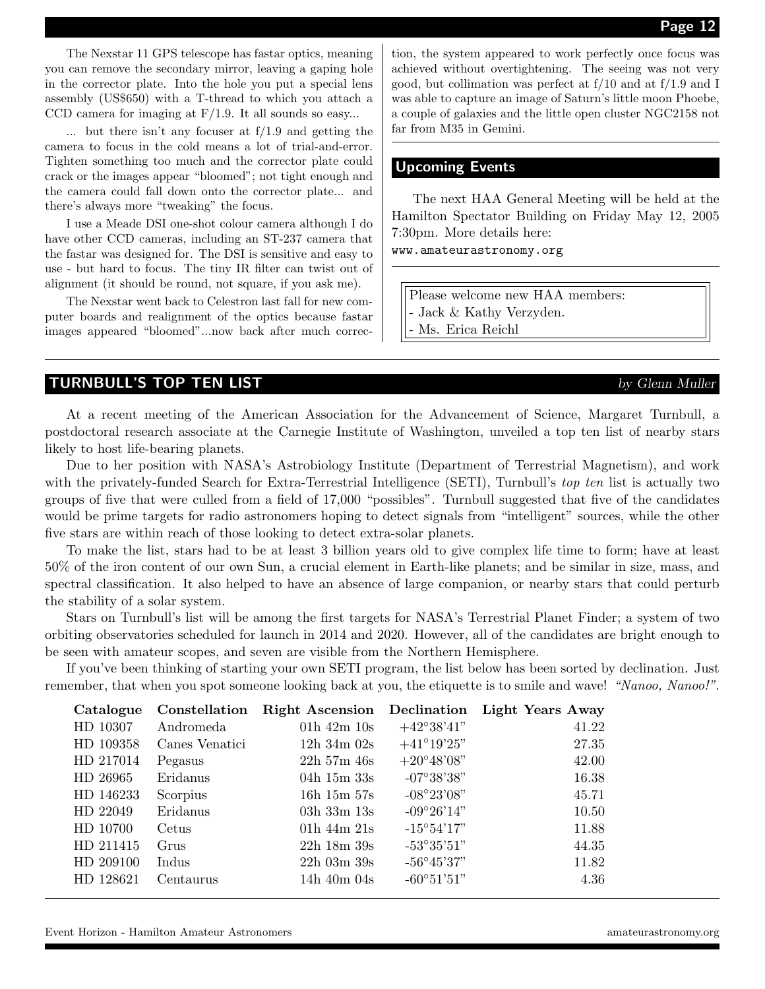The Nexstar 11 GPS telescope has fastar optics, meaning you can remove the secondary mirror, leaving a gaping hole in the corrector plate. Into the hole you put a special lens assembly (US\$650) with a T-thread to which you attach a CCD camera for imaging at  $F/1.9$ . It all sounds so easy...

... but there isn't any focuser at f/1.9 and getting the camera to focus in the cold means a lot of trial-and-error. Tighten something too much and the corrector plate could crack or the images appear "bloomed"; not tight enough and the camera could fall down onto the corrector plate... and there's always more "tweaking" the focus.

I use a Meade DSI one-shot colour camera although I do have other CCD cameras, including an ST-237 camera that the fastar was designed for. The DSI is sensitive and easy to use - but hard to focus. The tiny IR filter can twist out of alignment (it should be round, not square, if you ask me).

The Nexstar went back to Celestron last fall for new computer boards and realignment of the optics because fastar images appeared "bloomed"...now back after much correction, the system appeared to work perfectly once focus was achieved without overtightening. The seeing was not very good, but collimation was perfect at f/10 and at f/1.9 and I was able to capture an image of Saturn's little moon Phoebe, a couple of galaxies and the little open cluster NGC2158 not far from M35 in Gemini.

#### Upcoming Events

The next HAA General Meeting will be held at the Hamilton Spectator Building on Friday May 12, 2005 7:30pm. More details here:

www.amateurastronomy.org

Please welcome new HAA members: - Jack & Kathy Verzyden.

Ms. Erica Reichl

#### TURNBULL'S TOP TEN LIST **by Glenn Muller**

At a recent meeting of the American Association for the Advancement of Science, Margaret Turnbull, a postdoctoral research associate at the Carnegie Institute of Washington, unveiled a top ten list of nearby stars likely to host life-bearing planets.

Due to her position with NASA's Astrobiology Institute (Department of Terrestrial Magnetism), and work with the privately-funded Search for Extra-Terrestrial Intelligence (SETI), Turnbull's top ten list is actually two groups of five that were culled from a field of 17,000 "possibles". Turnbull suggested that five of the candidates would be prime targets for radio astronomers hoping to detect signals from "intelligent" sources, while the other five stars are within reach of those looking to detect extra-solar planets.

To make the list, stars had to be at least 3 billion years old to give complex life time to form; have at least 50% of the iron content of our own Sun, a crucial element in Earth-like planets; and be similar in size, mass, and spectral classification. It also helped to have an absence of large companion, or nearby stars that could perturb the stability of a solar system.

Stars on Turnbull's list will be among the first targets for NASA's Terrestrial Planet Finder; a system of two orbiting observatories scheduled for launch in 2014 and 2020. However, all of the candidates are bright enough to be seen with amateur scopes, and seven are visible from the Northern Hemisphere.

If you've been thinking of starting your own SETI program, the list below has been sorted by declination. Just remember, that when you spot someone looking back at you, the etiquette is to smile and wave! "Nanoo, Nanoo!".

| Catalogue | Constellation  | <b>Right Ascension</b> |                     | Declination Light Years Away |
|-----------|----------------|------------------------|---------------------|------------------------------|
| HD 10307  | Andromeda      | 01h $42m$ 10s          | $+42^{\circ}38'41"$ | 41.22                        |
| HD 109358 | Canes Venatici | $12h\ 34m\ 02s$        | $+41^{\circ}19'25"$ | 27.35                        |
| HD 217014 | Pegasus        | $22h\,57m\,46s$        | $+20^{\circ}48'08"$ | 42.00                        |
| HD 26965  | Eridanus       | $04h$ 15m $33s$        | $-07^{\circ}38'38"$ | 16.38                        |
| HD 146233 | Scorpius       | $16h$ 15m 57s          | $-08^{\circ}23'08"$ | 45.71                        |
| HD 22049  | Eridanus       | $03h\ 33m\ 13s$        | $-09^{\circ}26'14"$ | 10.50                        |
| HD 10700  | Cetus          | $01h$ 44m $21s$        | $-15^{\circ}54'17"$ | 11.88                        |
| HD 211415 | Grus           | $22h$ 18m $39s$        | $-53^{\circ}35'51"$ | 44.35                        |
| HD 209100 | Indus          | $22h$ 03m 39s          | $-56^{\circ}45'37"$ | 11.82                        |
| HD 128621 | Centaurus      | 14h $40m/04s$          | $-60^{\circ}51'51"$ | 4.36                         |
|           |                |                        |                     |                              |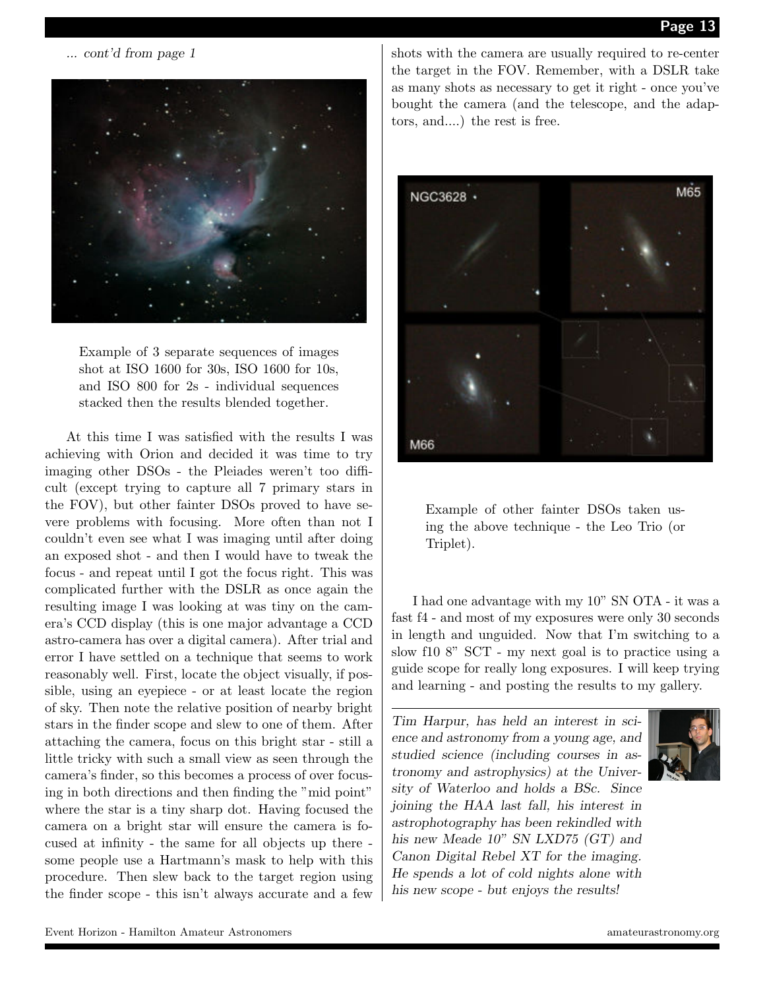... cont'd from page 1



Example of 3 separate sequences of images shot at ISO 1600 for 30s, ISO 1600 for 10s, and ISO 800 for 2s - individual sequences stacked then the results blended together.

At this time I was satisfied with the results I was achieving with Orion and decided it was time to try imaging other DSOs - the Pleiades weren't too difficult (except trying to capture all 7 primary stars in the FOV), but other fainter DSOs proved to have severe problems with focusing. More often than not I couldn't even see what I was imaging until after doing an exposed shot - and then I would have to tweak the focus - and repeat until I got the focus right. This was complicated further with the DSLR as once again the resulting image I was looking at was tiny on the camera's CCD display (this is one major advantage a CCD astro-camera has over a digital camera). After trial and error I have settled on a technique that seems to work reasonably well. First, locate the object visually, if possible, using an eyepiece - or at least locate the region of sky. Then note the relative position of nearby bright stars in the finder scope and slew to one of them. After attaching the camera, focus on this bright star - still a little tricky with such a small view as seen through the camera's finder, so this becomes a process of over focusing in both directions and then finding the "mid point" where the star is a tiny sharp dot. Having focused the camera on a bright star will ensure the camera is focused at infinity - the same for all objects up there some people use a Hartmann's mask to help with this procedure. Then slew back to the target region using the finder scope - this isn't always accurate and a few

shots with the camera are usually required to re-center the target in the FOV. Remember, with a DSLR take as many shots as necessary to get it right - once you've bought the camera (and the telescope, and the adaptors, and....) the rest is free.



Example of other fainter DSOs taken using the above technique - the Leo Trio (or Triplet).

I had one advantage with my 10" SN OTA - it was a fast f4 - and most of my exposures were only 30 seconds in length and unguided. Now that I'm switching to a slow f10 8" SCT - my next goal is to practice using a guide scope for really long exposures. I will keep trying and learning - and posting the results to my gallery.

Tim Harpur, has held an interest in science and astronomy from a young age, and studied science (including courses in astronomy and astrophysics) at the University of Waterloo and holds a BSc. Since joining the HAA last fall, his interest in astrophotography has been rekindled with his new Meade 10" SN LXD75 (GT) and Canon Digital Rebel XT for the imaging. He spends a lot of cold nights alone with his new scope - but enjoys the results!

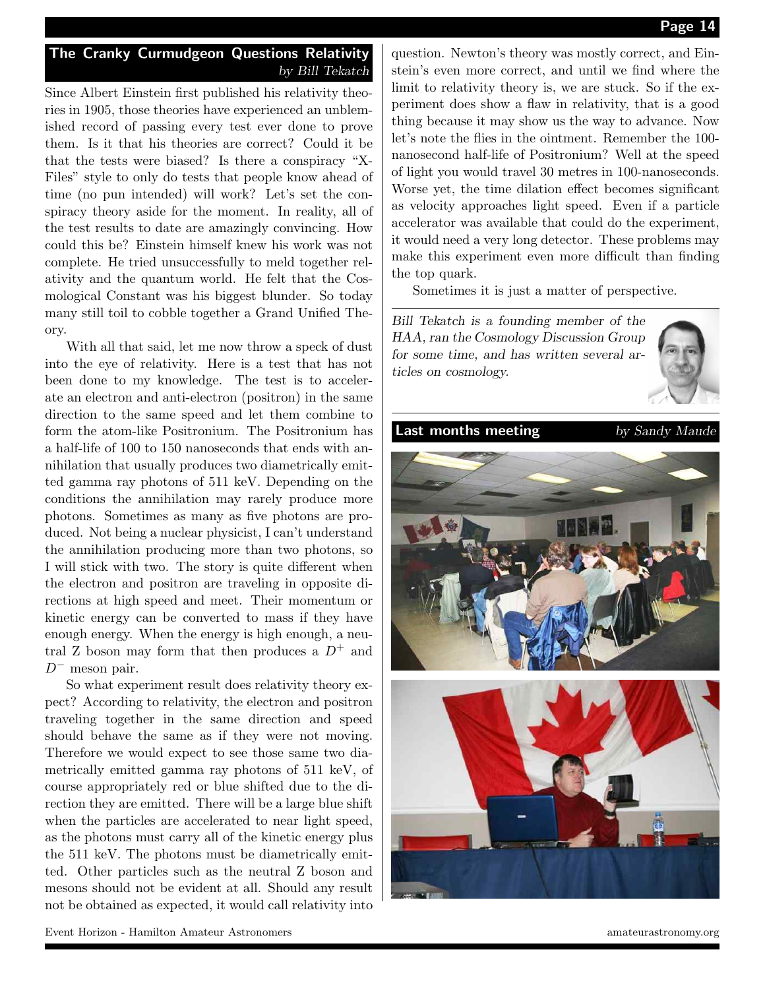#### The Cranky Curmudgeon Questions Relativity by Bill Tekatch

Since Albert Einstein first published his relativity theories in 1905, those theories have experienced an unblemished record of passing every test ever done to prove them. Is it that his theories are correct? Could it be that the tests were biased? Is there a conspiracy "X-Files" style to only do tests that people know ahead of time (no pun intended) will work? Let's set the conspiracy theory aside for the moment. In reality, all of the test results to date are amazingly convincing. How could this be? Einstein himself knew his work was not complete. He tried unsuccessfully to meld together relativity and the quantum world. He felt that the Cosmological Constant was his biggest blunder. So today many still toil to cobble together a Grand Unified Theory.

With all that said, let me now throw a speck of dust into the eye of relativity. Here is a test that has not been done to my knowledge. The test is to accelerate an electron and anti-electron (positron) in the same direction to the same speed and let them combine to form the atom-like Positronium. The Positronium has a half-life of 100 to 150 nanoseconds that ends with annihilation that usually produces two diametrically emitted gamma ray photons of 511 keV. Depending on the conditions the annihilation may rarely produce more photons. Sometimes as many as five photons are produced. Not being a nuclear physicist, I can't understand the annihilation producing more than two photons, so I will stick with two. The story is quite different when the electron and positron are traveling in opposite directions at high speed and meet. Their momentum or kinetic energy can be converted to mass if they have enough energy. When the energy is high enough, a neutral Z boson may form that then produces a  $D^+$  and  $D^-$  meson pair.

So what experiment result does relativity theory expect? According to relativity, the electron and positron traveling together in the same direction and speed should behave the same as if they were not moving. Therefore we would expect to see those same two diametrically emitted gamma ray photons of 511 keV, of course appropriately red or blue shifted due to the direction they are emitted. There will be a large blue shift when the particles are accelerated to near light speed, as the photons must carry all of the kinetic energy plus the 511 keV. The photons must be diametrically emitted. Other particles such as the neutral Z boson and mesons should not be evident at all. Should any result not be obtained as expected, it would call relativity into

question. Newton's theory was mostly correct, and Einstein's even more correct, and until we find where the limit to relativity theory is, we are stuck. So if the experiment does show a flaw in relativity, that is a good thing because it may show us the way to advance. Now let's note the flies in the ointment. Remember the 100 nanosecond half-life of Positronium? Well at the speed of light you would travel 30 metres in 100-nanoseconds. Worse yet, the time dilation effect becomes significant as velocity approaches light speed. Even if a particle accelerator was available that could do the experiment, it would need a very long detector. These problems may make this experiment even more difficult than finding the top quark.

Sometimes it is just a matter of perspective.

Bill Tekatch is a founding member of the HAA, ran the Cosmology Discussion Group for some time, and has written several articles on cosmology.



**Last months meeting** by Sandy Maude



Event Horizon - Hamilton Amateur Astronomers amateurastronomy.org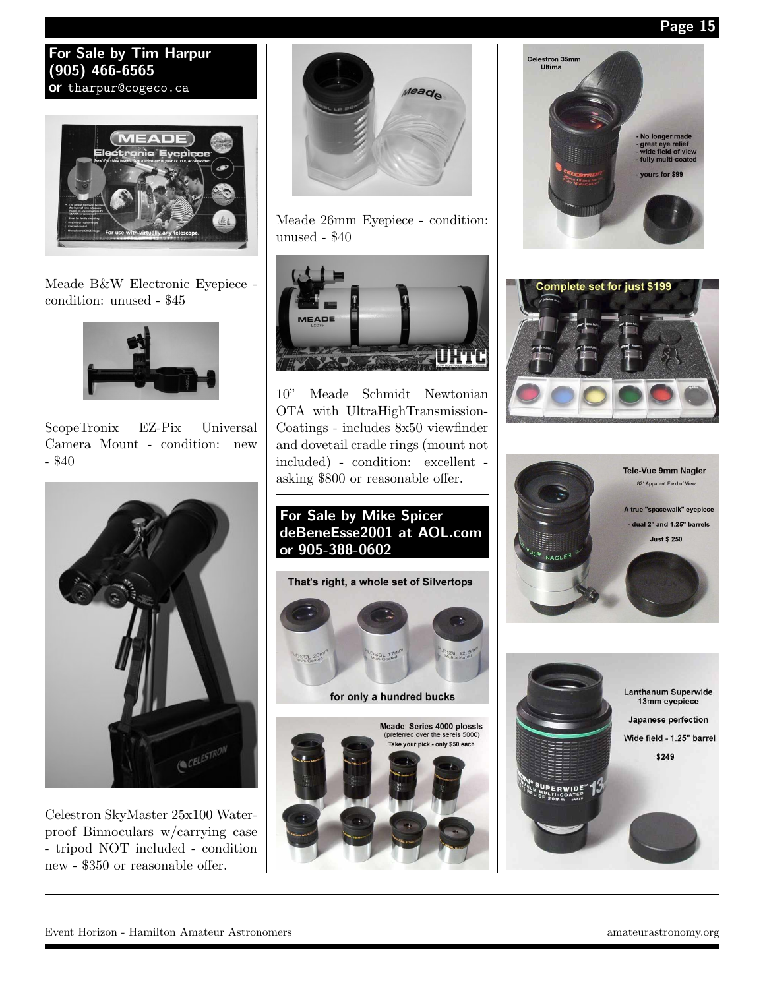Page 15

#### For Sale by Tim Harpur (905) 466-6565 or tharpur@cogeco.ca



Meade B&W Electronic Eyepiece condition: unused - \$45



ScopeTronix EZ-Pix Universal Camera Mount - condition: new  $-$  \$40



Celestron SkyMaster 25x100 Waterproof Binnoculars w/carrying case - tripod NOT included - condition new - \$350 or reasonable offer.



Meade 26mm Eyepiece - condition: unused - \$40



10" Meade Schmidt Newtonian OTA with UltraHighTransmission-Coatings - includes 8x50 viewfinder and dovetail cradle rings (mount not included) - condition: excellent asking \$800 or reasonable offer.